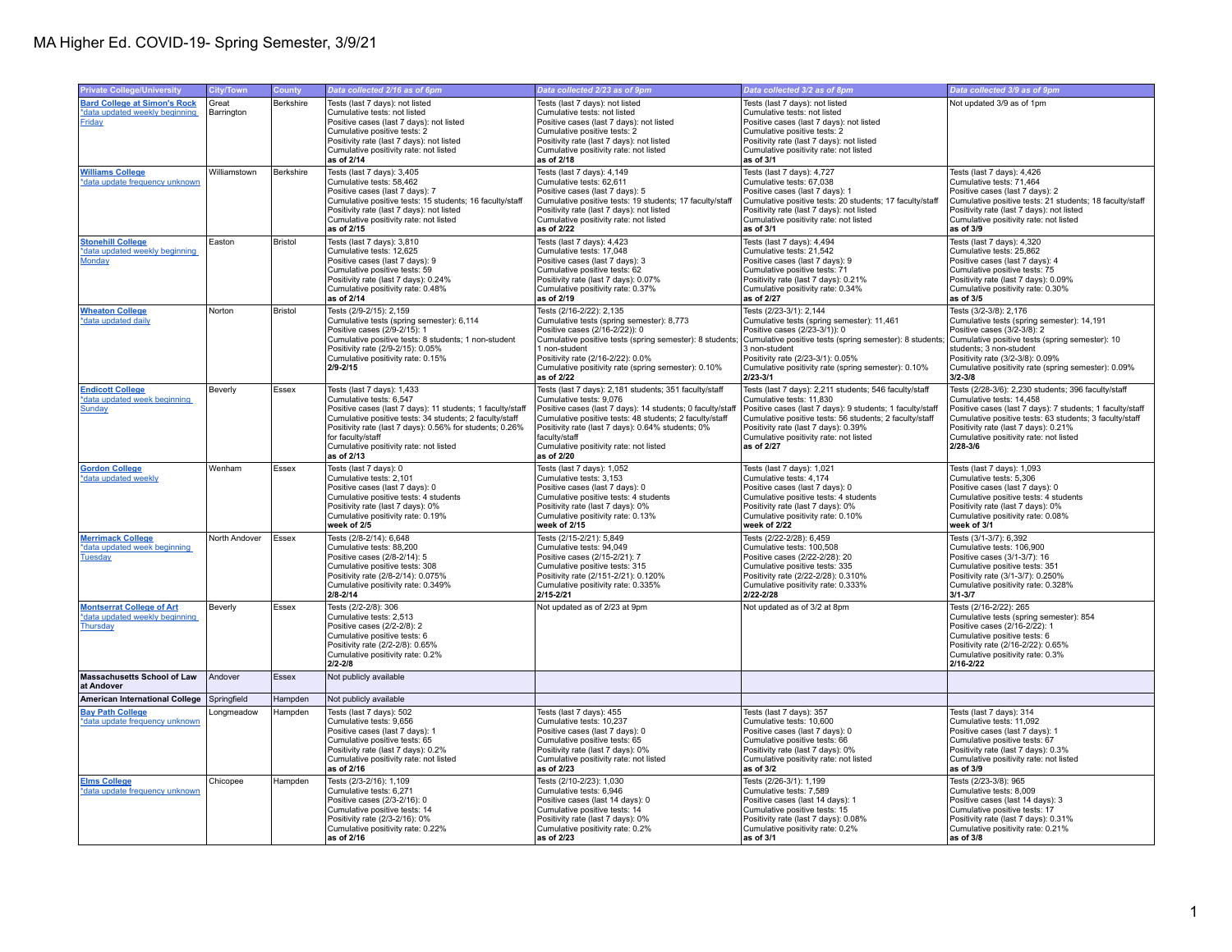| <b>Private College/University</b>                                                     | <b>City/Town</b>    | <b>County</b>  | Data collected 2/16 as of 6pm                                                                                                                                                                                                                                                                                           | Data collected 2/23 as of 9pm                                                                                                                                                                                                                                                                                                            | Data collected 3/2 as of 8pm                                                                                                                                                                                                                                                                               | Data collected 3/9 as of 9pm                                                                                                                                                                                                                                                                              |
|---------------------------------------------------------------------------------------|---------------------|----------------|-------------------------------------------------------------------------------------------------------------------------------------------------------------------------------------------------------------------------------------------------------------------------------------------------------------------------|------------------------------------------------------------------------------------------------------------------------------------------------------------------------------------------------------------------------------------------------------------------------------------------------------------------------------------------|------------------------------------------------------------------------------------------------------------------------------------------------------------------------------------------------------------------------------------------------------------------------------------------------------------|-----------------------------------------------------------------------------------------------------------------------------------------------------------------------------------------------------------------------------------------------------------------------------------------------------------|
| <b>Bard College at Simon's Rock</b><br>*data updated weekly beginning<br>Friday       | Great<br>Barrington | Berkshire      | Tests (last 7 days): not listed<br>Cumulative tests: not listed<br>Positive cases (last 7 days): not listed<br>Cumulative positive tests: 2<br>Positivity rate (last 7 days): not listed<br>Cumulative positivity rate: not listed<br>as of 2/14                                                                        | Tests (last 7 days): not listed<br>Cumulative tests: not listed<br>Positive cases (last 7 days): not listed<br>Cumulative positive tests: 2<br>Positivity rate (last 7 days): not listed<br>Cumulative positivity rate: not listed<br>as of 2/18                                                                                         | Tests (last 7 days): not listed<br>Cumulative tests: not listed<br>Positive cases (last 7 days): not listed<br>Cumulative positive tests: 2<br>Positivity rate (last 7 days): not listed<br>Cumulative positivity rate: not listed<br>as of 3/1                                                            | Not updated 3/9 as of 1pm                                                                                                                                                                                                                                                                                 |
| <b>Williams College</b><br>*data update frequency unknown                             | Williamstown        | Berkshire      | Tests (last 7 days): 3,405<br>Cumulative tests: 58,462<br>Positive cases (last 7 days): 7<br>Cumulative positive tests: 15 students; 16 faculty/staff<br>Positivity rate (last 7 days): not listed<br>Cumulative positivity rate: not listed<br>as of 2/15                                                              | Tests (last 7 days): 4,149<br>Cumulative tests: 62.611<br>Positive cases (last 7 days): 5<br>Cumulative positive tests: 19 students; 17 faculty/staff<br>Positivity rate (last 7 days): not listed<br>Cumulative positivity rate: not listed<br>as of 2/22                                                                               | Tests (last 7 days): 4,727<br>Cumulative tests: 67,038<br>Positive cases (last 7 days): 1<br>Cumulative positive tests: 20 students; 17 faculty/staff<br>Positivity rate (last 7 days): not listed<br>Cumulative positivity rate: not listed<br>as of 3/1                                                  | Tests (last 7 days): 4,426<br>Cumulative tests: 71.464<br>Positive cases (last 7 days): 2<br>Cumulative positive tests: 21 students; 18 faculty/staff<br>Positivity rate (last 7 days): not listed<br>Cumulative positivity rate: not listed<br>as of 3/9                                                 |
| <b>Stonehill College</b><br>*data updated weekly beginning<br>Monday                  | Easton              | <b>Bristol</b> | Tests (last 7 days): 3,810<br>Cumulative tests: 12,625<br>Positive cases (last 7 days): 9<br>Cumulative positive tests: 59<br>Positivity rate (last 7 days): 0.24%<br>Cumulative positivity rate: 0.48%<br>as of 2/14                                                                                                   | Tests (last 7 days): 4,423<br>Cumulative tests: 17,048<br>Positive cases (last 7 days): 3<br>Cumulative positive tests: 62<br>Positivity rate (last 7 days): 0.07%<br>Cumulative positivity rate: 0.37%<br>as of 2/19                                                                                                                    | Tests (last 7 days): 4,494<br>Cumulative tests: 21,542<br>Positive cases (last 7 days): 9<br>Cumulative positive tests: 71<br>Positivity rate (last 7 days): 0.21%<br>Cumulative positivity rate: 0.34%<br>as of 2/27                                                                                      | Tests (last 7 days): 4,320<br>Cumulative tests: 25,862<br>Positive cases (last 7 days): 4<br>Cumulative positive tests: 75<br>Positivity rate (last 7 days): 0.09%<br>Cumulative positivity rate: 0.30%<br>as of 3/5                                                                                      |
| <b>Wheaton College</b><br>*data updated daily                                         | Norton              | <b>Bristol</b> | Tests (2/9-2/15): 2,159<br>Cumulative tests (spring semester): 6,114<br>Positive cases (2/9-2/15): 1<br>Cumulative positive tests: 8 students; 1 non-student<br>Positivity rate (2/9-2/15): 0.05%<br>Cumulative positivity rate: 0.15%<br>$2/9 - 2/15$                                                                  | Tests (2/16-2/22): 2,135<br>Cumulative tests (spring semester): 8,773<br>Positive cases (2/16-2/22)): 0<br>Cumulative positive tests (spring semester): 8 students;<br>1 non-student<br>Positivity rate (2/16-2/22): 0.0%<br>Cumulative positivity rate (spring semester): 0.10%<br>as of 2/22                                           | Tests (2/23-3/1): 2,144<br>Cumulative tests (spring semester): 11,461<br>Positive cases (2/23-3/1)): 0<br>Cumulative positive tests (spring semester): 8 students;<br>3 non-student<br>Positivity rate (2/23-3/1): 0.05%<br>Cumulative positivity rate (spring semester): 0.10%<br>$2/23 - 3/1$            | Tests (3/2-3/8): 2,176<br>Cumulative tests (spring semester): 14,191<br>Positive cases (3/2-3/8): 2<br>Cumulative positive tests (spring semester): 10<br>students; 3 non-student<br>Positivity rate (3/2-3/8): 0.09%<br>Cumulative positivity rate (spring semester): 0.09%<br>$3/2 - 3/8$               |
| <b>Endicott College</b><br>*data updated week beginning<br>Sunday                     | Beverly             | Essex          | Tests (last 7 days): 1,433<br>Cumulative tests: 6,547<br>Positive cases (last 7 days): 11 students; 1 faculty/staff<br>Cumulative positive tests: 34 students; 2 faculty/staff<br>Positivity rate (last 7 days): 0.56% for students; 0.26%<br>for faculty/staff<br>Cumulative positivity rate: not listed<br>as of 2/13 | Tests (last 7 days): 2,181 students; 351 faculty/staff<br>Cumulative tests: 9,076<br>Positive cases (last 7 days): 14 students; 0 faculty/staff<br>Cumulative positive tests: 48 students; 2 faculty/staff<br>Positivity rate (last 7 days): 0.64% students; 0%<br>faculty/staff<br>Cumulative positivity rate: not listed<br>as of 2/20 | Tests (last 7 days): 2,211 students; 546 faculty/staff<br>Cumulative tests: 11,830<br>Positive cases (last 7 days): 9 students; 1 faculty/staff<br>Cumulative positive tests: 56 students; 2 faculty/staff<br>Positivity rate (last 7 days): 0.39%<br>Cumulative positivity rate: not listed<br>as of 2/27 | Tests (2/28-3/6): 2,230 students; 396 faculty/staff<br>Cumulative tests: 14,458<br>Positive cases (last 7 days): 7 students; 1 faculty/staff<br>Cumulative positive tests: 63 students; 3 faculty/staff<br>Positivity rate (last 7 days): 0.21%<br>Cumulative positivity rate: not listed<br>$2/28 - 3/6$ |
| <b>Gordon College</b><br>*data updated weekly                                         | Wenham              | Essex          | Tests (last 7 days): 0<br>Cumulative tests: 2,101<br>Positive cases (last 7 days): 0<br>Cumulative positive tests: 4 students<br>Positivity rate (last 7 days): 0%<br>Cumulative positivity rate: 0.19%<br>week of 2/5                                                                                                  | Tests (last 7 days): 1,052<br>Cumulative tests: 3,153<br>Positive cases (last 7 days): 0<br>Cumulative positive tests: 4 students<br>Positivity rate (last 7 days): 0%<br>Cumulative positivity rate: 0.13%<br>week of 2/15                                                                                                              | Tests (last 7 days): 1,021<br>Cumulative tests: 4,174<br>Positive cases (last 7 days): 0<br>Cumulative positive tests: 4 students<br>Positivity rate (last 7 days): 0%<br>Cumulative positivity rate: 0.10%<br>week of 2/22                                                                                | Tests (last 7 days): 1,093<br>Cumulative tests: 5,306<br>Positive cases (last 7 days): 0<br>Cumulative positive tests: 4 students<br>Positivity rate (last 7 days): 0%<br>Cumulative positivity rate: 0.08%<br>week of 3/1                                                                                |
| <b>Merrimack College</b><br>*data updated week beginning<br><b>Tuesday</b>            | North Andover       | Essex          | Tests (2/8-2/14): 6,648<br>Cumulative tests: 88,200<br>Positive cases (2/8-2/14): 5<br>Cumulative positive tests: 308<br>Positivity rate (2/8-2/14): 0.075%<br>Cumulative positivity rate: 0.349%<br>$2/8 - 2/14$                                                                                                       | Tests (2/15-2/21): 5,849<br>Cumulative tests: 94,049<br>Positive cases (2/15-2/21): 7<br>Cumulative positive tests: 315<br>Positivity rate (2/151-2/21): 0.120%<br>Cumulative positivity rate: 0.335%<br>2/15-2/21                                                                                                                       | Tests (2/22-2/28): 6,459<br>Cumulative tests: 100,508<br>Positive cases (2/22-2/28): 20<br>Cumulative positive tests: 335<br>Positivity rate (2/22-2/28): 0.310%<br>Cumulative positivity rate: 0.333%<br>2/22-2/28                                                                                        | Tests (3/1-3/7): 6,392<br>Cumulative tests: 106,900<br>Positive cases (3/1-3/7): 16<br>Cumulative positive tests: 351<br>Positivity rate (3/1-3/7): 0.250%<br>Cumulative positivity rate: 0.328%<br>$3/1 - 3/7$                                                                                           |
| <b>Montserrat College of Art</b><br>*data updated weekly beginning<br><b>Thursday</b> | Beverly             | Essex          | Tests (2/2-2/8): 306<br>Cumulative tests: 2,513<br>Positive cases (2/2-2/8): 2<br>Cumulative positive tests: 6<br>Positivity rate (2/2-2/8): 0.65%<br>Cumulative positivity rate: 0.2%<br>$2/2 - 2/8$                                                                                                                   | Not updated as of 2/23 at 9pm                                                                                                                                                                                                                                                                                                            | Not updated as of 3/2 at 8pm                                                                                                                                                                                                                                                                               | Tests (2/16-2/22): 265<br>Cumulative tests (spring semester): 854<br>Positive cases (2/16-2/22): 1<br>Cumulative positive tests: 6<br>Positivity rate (2/16-2/22): 0.65%<br>Cumulative positivity rate: 0.3%<br>2/16-2/22                                                                                 |
| <b>Massachusetts School of Law</b><br>at Andover                                      | Andover             | Essex          | Not publicly available                                                                                                                                                                                                                                                                                                  |                                                                                                                                                                                                                                                                                                                                          |                                                                                                                                                                                                                                                                                                            |                                                                                                                                                                                                                                                                                                           |
| <b>American International College</b>                                                 | Springfield         | Hampden        | Not publicly available                                                                                                                                                                                                                                                                                                  |                                                                                                                                                                                                                                                                                                                                          |                                                                                                                                                                                                                                                                                                            |                                                                                                                                                                                                                                                                                                           |
| <b>Bay Path College</b><br>*data update frequency unknown                             | _ongmeadow          | Hampden        | Tests (last 7 days): 502<br>Cumulative tests: 9,656<br>Positive cases (last 7 days): 1<br>Cumulative positive tests: 65<br>Positivity rate (last 7 days): 0.2%<br>Cumulative positivity rate: not listed<br>as of 2/16                                                                                                  | Tests (last 7 days): 455<br>Cumulative tests: 10,237<br>Positive cases (last 7 days): 0<br>Cumulative positive tests: 65<br>Positivity rate (last 7 days): 0%<br>Cumulative positivity rate: not listed<br>as of 2/23                                                                                                                    | Tests (last 7 days): 357<br>Cumulative tests: 10,600<br>Positive cases (last 7 days): 0<br>Cumulative positive tests: 66<br>Positivity rate (last 7 days): 0%<br>Cumulative positivity rate: not listed<br>as of 3/2                                                                                       | Tests (last 7 days): 314<br>Cumulative tests: 11,092<br>Positive cases (last 7 days): 1<br>Cumulative positive tests: 67<br>Positivity rate (last 7 days): 0.3%<br>Cumulative positivity rate: not listed<br>as of 3/9                                                                                    |
| <b>Elms College</b><br>*data update frequency unknown                                 | Chicopee            | Hampden        | Tests (2/3-2/16): 1,109<br>Cumulative tests: 6,271<br>Positive cases (2/3-2/16): 0<br>Cumulative positive tests: 14<br>Positivity rate (2/3-2/16): 0%<br>Cumulative positivity rate: 0.22%<br>as of 2/16                                                                                                                | Tests (2/10-2/23): 1,030<br>Cumulative tests: 6,946<br>Positive cases (last 14 days): 0<br>Cumulative positive tests: 14<br>Positivity rate (last 7 days): 0%<br>Cumulative positivity rate: 0.2%<br>as of 2/23                                                                                                                          | Tests (2/26-3/1): 1,199<br>Cumulative tests: 7,589<br>Positive cases (last 14 days): 1<br>Cumulative positive tests: 15<br>Positivity rate (last 7 days): 0.08%<br>Cumulative positivity rate: 0.2%<br>as of 3/1                                                                                           | Tests (2/23-3/8): 965<br>Cumulative tests: 8,009<br>Positive cases (last 14 days): 3<br>Cumulative positive tests: 17<br>Positivity rate (last 7 days): 0.31%<br>Cumulative positivity rate: 0.21%<br>as of 3/8                                                                                           |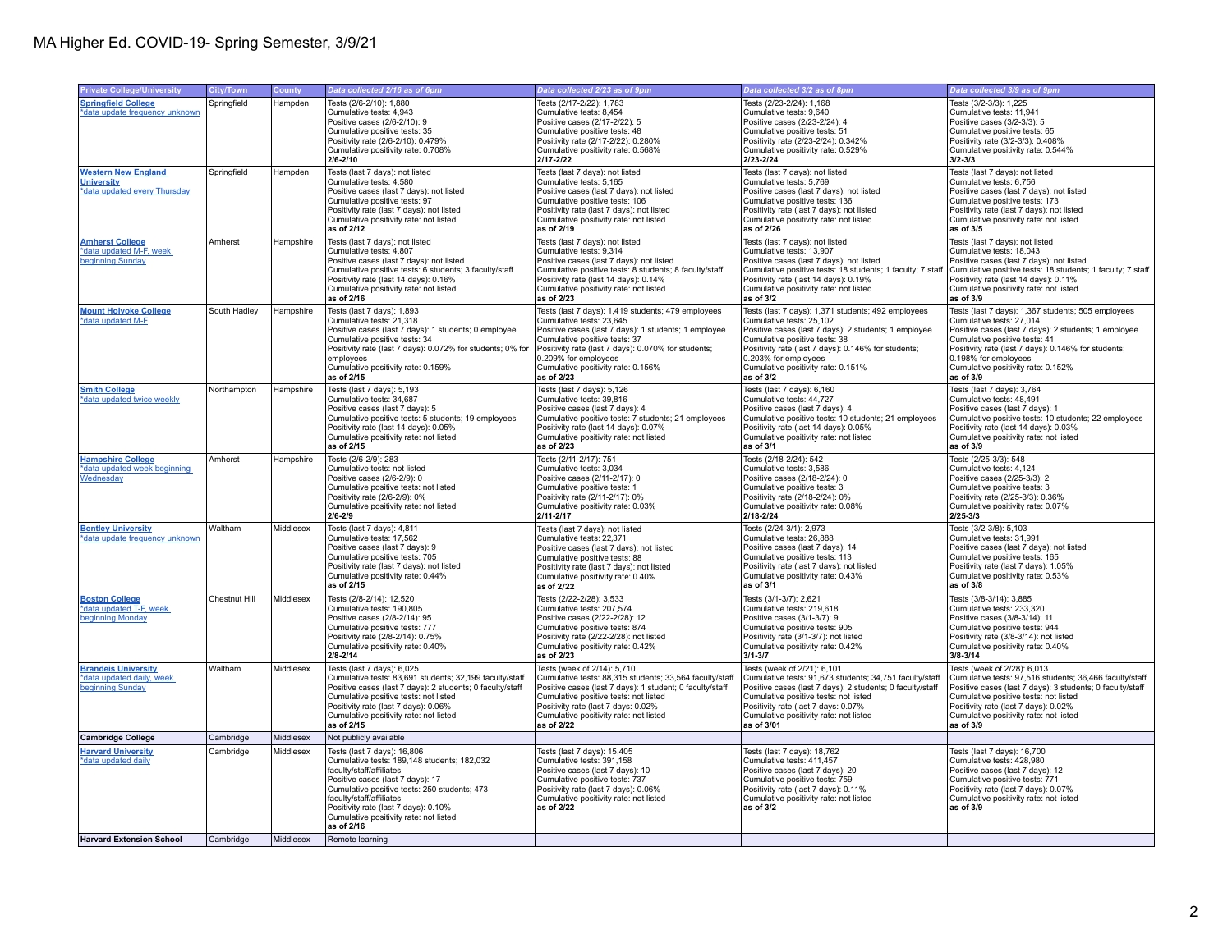| <b>Private College/University</b>                | <b>City/Town</b> | <b>County</b> | Data collected 2/16 as of 6pm                                              | Data collected 2/23 as of 9pm                                               | Data collected 3/2 as of 8pm                                                | Data collected 3/9 as of 9pm                                                   |
|--------------------------------------------------|------------------|---------------|----------------------------------------------------------------------------|-----------------------------------------------------------------------------|-----------------------------------------------------------------------------|--------------------------------------------------------------------------------|
| <b>Springfield College</b>                       | Springfield      | Hampden       | Tests (2/6-2/10): 1,880                                                    | Tests (2/17-2/22): 1,783                                                    | Tests (2/23-2/24): 1,168                                                    | Tests (3/2-3/3): 1,225                                                         |
| *data update frequency unknown                   |                  |               | Cumulative tests: 4,943                                                    | Cumulative tests: 8,454                                                     | Cumulative tests: 9,640                                                     | Cumulative tests: 11,941                                                       |
|                                                  |                  |               | Positive cases (2/6-2/10): 9                                               | Positive cases (2/17-2/22): 5                                               | Positive cases (2/23-2/24): 4                                               | Positive cases (3/2-3/3): 5                                                    |
|                                                  |                  |               | Cumulative positive tests: 35                                              | Cumulative positive tests: 48                                               | Cumulative positive tests: 51                                               | Cumulative positive tests: 65                                                  |
|                                                  |                  |               | Positivity rate (2/6-2/10): 0.479%                                         | Positivity rate (2/17-2/22): 0.280%                                         | Positivity rate (2/23-2/24): 0.342%                                         | Positivity rate (3/2-3/3): 0.408%                                              |
|                                                  |                  |               | Cumulative positivity rate: 0.708%                                         | Cumulative positivity rate: 0.568%<br>2/17-2/22                             | Cumulative positivity rate: 0.529%<br>2/23-2/24                             | Cumulative positivity rate: 0.544%<br>$3/2 - 3/3$                              |
|                                                  |                  |               | $2/6 - 2/10$                                                               |                                                                             |                                                                             |                                                                                |
| <b>Western New England</b>                       | Springfield      | Hampden       | Tests (last 7 days): not listed                                            | Tests (last 7 days): not listed                                             | Tests (last 7 days): not listed                                             | Tests (last 7 days): not listed                                                |
| <b>University</b>                                |                  |               | Cumulative tests: 4,580                                                    | Cumulative tests: 5,165                                                     | Cumulative tests: 5,769                                                     | Cumulative tests: 6,756                                                        |
| *data updated every Thursday                     |                  |               | Positive cases (last 7 days): not listed<br>Cumulative positive tests: 97  | Positive cases (last 7 days): not listed                                    | Positive cases (last 7 days): not listed                                    | Positive cases (last 7 days): not listed<br>Cumulative positive tests: 173     |
|                                                  |                  |               | Positivity rate (last 7 days): not listed                                  | Cumulative positive tests: 106<br>Positivity rate (last 7 days): not listed | Cumulative positive tests: 136<br>Positivity rate (last 7 days): not listed | Positivity rate (last 7 days): not listed                                      |
|                                                  |                  |               | Cumulative positivity rate: not listed                                     | Cumulative positivity rate: not listed                                      | Cumulative positivity rate: not listed                                      | Cumulative positivity rate: not listed                                         |
|                                                  |                  |               | as of 2/12                                                                 | as of 2/19                                                                  | as of 2/26                                                                  | as of 3/5                                                                      |
| <b>Amherst College</b>                           | Amherst          | Hampshire     | Tests (last 7 days): not listed                                            | Tests (last 7 days): not listed                                             | Tests (last 7 days): not listed                                             | Tests (last 7 days): not listed                                                |
| *data updated M-F, week                          |                  |               | Cumulative tests: 4,807                                                    | Cumulative tests: 9,314                                                     | Cumulative tests: 13,907                                                    | Cumulative tests: 18,043                                                       |
| beginning Sunday                                 |                  |               | Positive cases (last 7 days): not listed                                   | Positive cases (last 7 days): not listed                                    | Positive cases (last 7 days): not listed                                    | Positive cases (last 7 days): not listed                                       |
|                                                  |                  |               | Cumulative positive tests: 6 students; 3 faculty/staff                     | Cumulative positive tests: 8 students; 8 faculty/staff                      | Cumulative positive tests: 18 students; 1 faculty; 7 staff                  | Cumulative positive tests: 18 students; 1 faculty; 7 staff                     |
|                                                  |                  |               | Positivity rate (last 14 days): 0.16%                                      | Positivity rate (last 14 days): 0.14%                                       | Positivity rate (last 14 days): 0.19%                                       | Positivity rate (last 14 days): 0.11%                                          |
|                                                  |                  |               | Cumulative positivity rate: not listed                                     | Cumulative positivity rate: not listed                                      | Cumulative positivity rate: not listed                                      | Cumulative positivity rate: not listed                                         |
|                                                  |                  |               | as of 2/16                                                                 | as of 2/23                                                                  | as of 3/2                                                                   | as of 3/9                                                                      |
| <b>Mount Holyoke College</b>                     | South Hadley     | Hampshire     | Tests (last 7 days): 1,893                                                 | Tests (last 7 days): 1,419 students; 479 employees                          | Tests (last 7 days): 1,371 students; 492 employees                          | Tests (last 7 days): 1,367 students; 505 employees                             |
| *data updated M-F                                |                  |               | Cumulative tests: 21,318                                                   | Cumulative tests: 23,645                                                    | Cumulative tests: 25,102                                                    | Cumulative tests: 27,014                                                       |
|                                                  |                  |               | Positive cases (last 7 days): 1 students; 0 employee                       | Positive cases (last 7 days): 1 students; 1 employee                        | Positive cases (last 7 days): 2 students; 1 employee                        | Positive cases (last 7 days): 2 students; 1 employee                           |
|                                                  |                  |               | Cumulative positive tests: 34                                              | Cumulative positive tests: 37                                               | Cumulative positive tests: 38                                               | Cumulative positive tests: 41                                                  |
|                                                  |                  |               | Positivity rate (last 7 days): 0.072% for students; 0% for                 | Positivity rate (last 7 days): 0.070% for students;                         | Positivity rate (last 7 days): 0.146% for students;                         | Positivity rate (last 7 days): 0.146% for students;                            |
|                                                  |                  |               | employees                                                                  | 0.209% for employees<br>Cumulative positivity rate: 0.156%                  | 0.203% for employees<br>Cumulative positivity rate: 0.151%                  | 0.198% for employees<br>Cumulative positivity rate: 0.152%                     |
|                                                  |                  |               | Cumulative positivity rate: 0.159%<br>as of 2/15                           | as of 2/23                                                                  | as of 3/2                                                                   | as of 3/9                                                                      |
| <b>Smith College</b>                             |                  | Hampshire     | Tests (last 7 days): 5,193                                                 | Tests (last 7 days): 5,126                                                  | Tests (last 7 days): 6,160                                                  | Tests (last 7 days): 3,764                                                     |
| *data updated twice weekly                       | Northampton      |               | Cumulative tests: 34,687                                                   | Cumulative tests: 39,816                                                    | Cumulative tests: 44,727                                                    | Cumulative tests: 48,491                                                       |
|                                                  |                  |               | Positive cases (last 7 days): 5                                            | Positive cases (last 7 days): 4                                             | Positive cases (last 7 days): 4                                             | Positive cases (last 7 days): 1                                                |
|                                                  |                  |               | Cumulative positive tests: 5 students; 19 employees                        | Cumulative positive tests: 7 students; 21 employees                         | Cumulative positive tests: 10 students; 21 employees                        | Cumulative positive tests: 10 students; 22 employees                           |
|                                                  |                  |               | Positivity rate (last 14 days): 0.05%                                      | Positivity rate (last 14 days): 0.07%                                       | Positivity rate (last 14 days): 0.05%                                       | Positivity rate (last 14 days): 0.03%                                          |
|                                                  |                  |               | Cumulative positivity rate: not listed                                     | Cumulative positivity rate: not listed                                      | Cumulative positivity rate: not listed                                      | Cumulative positivity rate: not listed                                         |
|                                                  |                  |               | as of 2/15                                                                 | as of 2/23                                                                  | as of 3/1                                                                   | as of 3/9                                                                      |
| <b>Hampshire College</b>                         | Amherst          | Hampshire     | Tests (2/6-2/9): 283                                                       | Tests (2/11-2/17): 751                                                      | Tests (2/18-2/24): 542                                                      | Tests (2/25-3/3): 548                                                          |
| *data updated week beginning                     |                  |               | Cumulative tests: not listed                                               | Cumulative tests: 3,034                                                     | Cumulative tests: 3,586                                                     | Cumulative tests: 4,124                                                        |
| Wednesday                                        |                  |               | Positive cases (2/6-2/9): 0                                                | Positive cases (2/11-2/17): 0                                               | Positive cases (2/18-2/24): 0                                               | Positive cases (2/25-3/3): 2                                                   |
|                                                  |                  |               | Cumulative positive tests: not listed                                      | Cumulative positive tests: 1                                                | Cumulative positive tests: 3                                                | Cumulative positive tests: 3                                                   |
|                                                  |                  |               | Positivity rate (2/6-2/9): 0%                                              | Positivity rate (2/11-2/17): 0%                                             | Positivity rate (2/18-2/24): 0%                                             | Positivity rate (2/25-3/3): 0.36%                                              |
|                                                  |                  |               | Cumulative positivity rate: not listed<br>$2/6 - 2/9$                      | Cumulative positivity rate: 0.03%                                           | Cumulative positivity rate: 0.08%<br>2/18-2/24                              | Cumulative positivity rate: 0.07%                                              |
|                                                  |                  |               |                                                                            | $2/11 - 2/17$                                                               |                                                                             | $2/25 - 3/3$                                                                   |
| <b>Bentley University</b>                        | Waltham          | Middlesex     | Tests (last 7 days): 4,811                                                 | Tests (last 7 days): not listed                                             | Tests (2/24-3/1): 2,973                                                     | Tests (3/2-3/8): 5,103                                                         |
| *data update frequency unknown                   |                  |               | Cumulative tests: 17,562                                                   | Cumulative tests: 22,371                                                    | Cumulative tests: 26,888                                                    | Cumulative tests: 31,991                                                       |
|                                                  |                  |               | Positive cases (last 7 days): 9<br>Cumulative positive tests: 705          | Positive cases (last 7 days): not listed<br>Cumulative positive tests: 88   | Positive cases (last 7 days): 14<br>Cumulative positive tests: 113          | Positive cases (last 7 days): not listed<br>Cumulative positive tests: 165     |
|                                                  |                  |               | Positivity rate (last 7 days): not listed                                  | Positivity rate (last 7 days): not listed                                   | Positivity rate (last 7 days): not listed                                   | Positivity rate (last 7 days): 1.05%                                           |
|                                                  |                  |               | Cumulative positivity rate: 0.44%                                          | Cumulative positivity rate: 0.40%                                           | Cumulative positivity rate: 0.43%                                           | Cumulative positivity rate: 0.53%                                              |
|                                                  |                  |               | as of 2/15                                                                 | as of 2/22                                                                  | as of 3/1                                                                   | as of 3/8                                                                      |
| <b>Boston College</b>                            | Chestnut Hill    | Middlesex     | Tests (2/8-2/14): 12,520                                                   | Tests (2/22-2/28): 3,533                                                    | Tests (3/1-3/7): 2,621                                                      | Tests (3/8-3/14): 3,885                                                        |
| *data updated T-F, week                          |                  |               | Cumulative tests: 190,805                                                  | Cumulative tests: 207,574                                                   | Cumulative tests: 219,618                                                   | Cumulative tests: 233,320                                                      |
| beginning Monday                                 |                  |               | Positive cases (2/8-2/14): 95                                              | Positive cases (2/22-2/28): 12                                              | Positive cases (3/1-3/7): 9                                                 | Positive cases (3/8-3/14): 11                                                  |
|                                                  |                  |               | Cumulative positive tests: 777                                             | Cumulative positive tests: 874                                              | Cumulative positive tests: 905                                              | Cumulative positive tests: 944                                                 |
|                                                  |                  |               | Positivity rate (2/8-2/14): 0.75%                                          | Positivity rate (2/22-2/28): not listed                                     | Positivity rate (3/1-3/7): not listed                                       | Positivity rate (3/8-3/14): not listed                                         |
|                                                  |                  |               | Cumulative positivity rate: 0.40%                                          | Cumulative positivity rate: 0.42%                                           | Cumulative positivity rate: 0.42%                                           | Cumulative positivity rate: 0.40%                                              |
|                                                  |                  |               | $2/8 - 2/14$                                                               | as of 2/23                                                                  | 3/1-3/7                                                                     | 3/8-3/14                                                                       |
| <b>Brandels University</b>                       | Waltham          | Middlesex     | Tests (last 7 days): 6,025                                                 | Tests (week of 2/14): 5,710                                                 | Tests (week of 2/21): 6,101                                                 | Tests (week of 2/28): 6,013                                                    |
| *data updated daily, week                        |                  |               | Cumulative tests: 83,691 students; 32,199 faculty/staff                    | Cumulative tests: 88,315 students; 33,564 faculty/staff                     | Cumulative tests: 91,673 students; 34,751 faculty/staff                     | Cumulative tests: 97,516 students; 36,466 faculty/staff                        |
| beginning Sunday                                 |                  |               | Positive cases (last 7 days): 2 students; 0 faculty/staff                  | Positive cases (last 7 days): 1 student; 0 faculty/staff                    | Positive cases (last 7 days): 2 students; 0 faculty/staff                   | Positive cases (last 7 days): 3 students; 0 faculty/staff                      |
|                                                  |                  |               | Cumulative positive tests: not listed                                      | Cumulative positive tests: not listed                                       | Cumulative positive tests: not listed                                       | Cumulative positive tests: not listed                                          |
|                                                  |                  |               | Positivity rate (last 7 days): 0.06%                                       | Positivity rate (last 7 days: 0.02%                                         | Positivity rate (last 7 days: 0.07%                                         | Positivity rate (last 7 days): 0.02%<br>Cumulative positivity rate: not listed |
|                                                  |                  |               | Cumulative positivity rate: not listed<br>as of 2/15                       | Cumulative positivity rate: not listed<br>as of 2/22                        | Cumulative positivity rate: not listed<br>as of 3/01                        | as of 3/9                                                                      |
| <b>Cambridge College</b>                         | Cambridge        | Middlesex     | Not publicly available                                                     |                                                                             |                                                                             |                                                                                |
|                                                  |                  |               |                                                                            |                                                                             |                                                                             |                                                                                |
| <b>Harvard University</b><br>*data updated daily | Cambridge        | Middlesex     | Tests (last 7 days): 16,806<br>Cumulative tests: 189,148 students; 182,032 | Tests (last 7 days): 15,405<br>Cumulative tests: 391,158                    | Tests (last 7 days): 18,762<br>Cumulative tests: 411,457                    | Tests (last 7 days): 16,700<br>Cumulative tests: 428,980                       |
|                                                  |                  |               | faculty/staff/affiliates                                                   | Positive cases (last 7 days): 10                                            | Positive cases (last 7 days): 20                                            | Positive cases (last 7 days): 12                                               |
|                                                  |                  |               | Positive cases (last 7 days): 17                                           | Cumulative positive tests: 737                                              | Cumulative positive tests: 759                                              | Cumulative positive tests: 771                                                 |
|                                                  |                  |               | Cumulative positive tests: 250 students; 473                               | Positivity rate (last 7 days): 0.06%                                        | Positivity rate (last 7 days): 0.11%                                        | Positivity rate (last 7 days): 0.07%                                           |
|                                                  |                  |               | faculty/staff/affiliates                                                   | Cumulative positivity rate: not listed                                      | Cumulative positivity rate: not listed                                      | Cumulative positivity rate: not listed                                         |
|                                                  |                  |               | Positivity rate (last 7 days): 0.10%                                       | as of 2/22                                                                  | as of 3/2                                                                   | as of 3/9                                                                      |
|                                                  |                  |               | Cumulative positivity rate: not listed                                     |                                                                             |                                                                             |                                                                                |
|                                                  |                  |               | as of 2/16                                                                 |                                                                             |                                                                             |                                                                                |
| <b>Harvard Extension School</b>                  | Cambridge        | Middlesex     | Remote learning                                                            |                                                                             |                                                                             |                                                                                |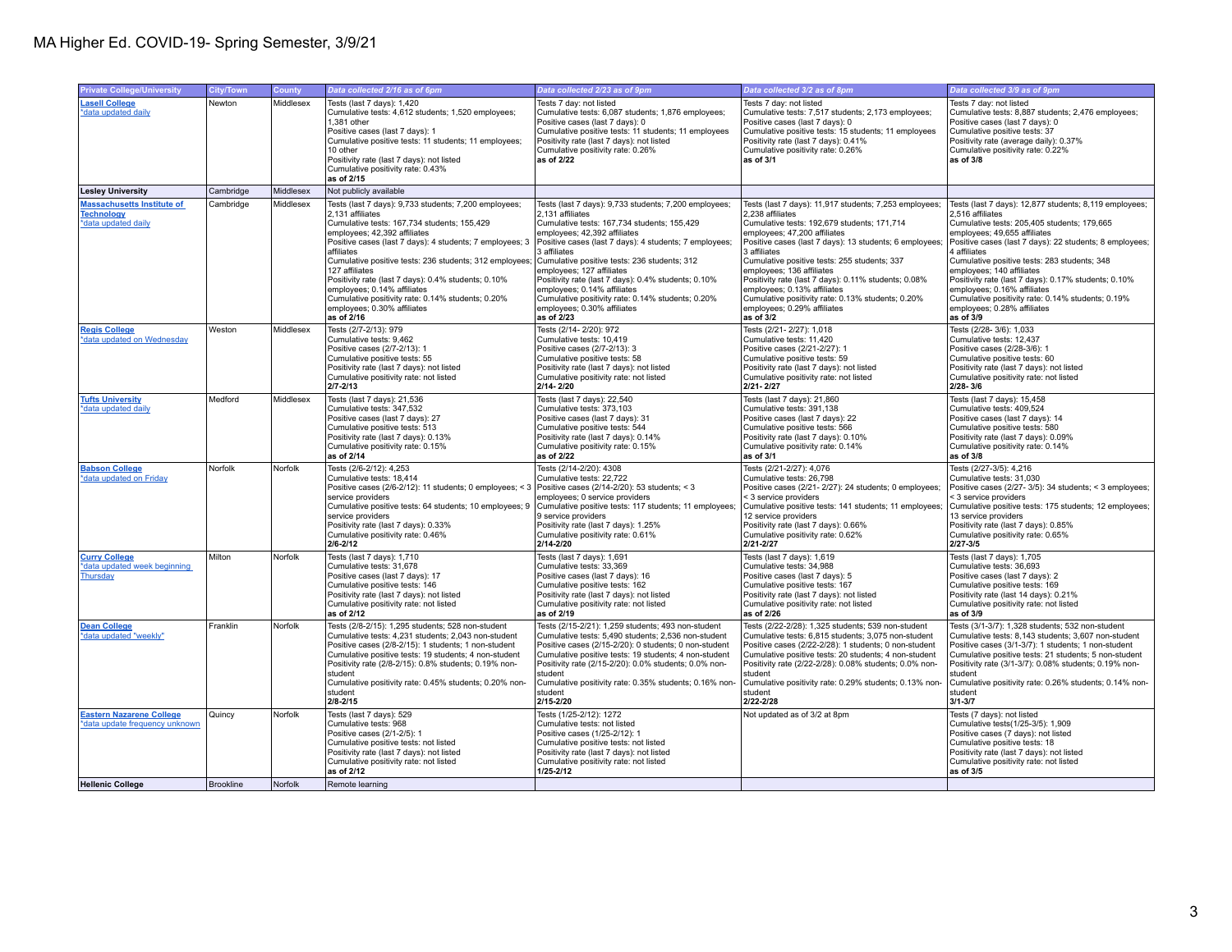| <b>Private College/University</b>                                             | <b>City/Town</b> | County    | Data collected 2/16 as of 6pm                                                                                                                                                                                                                                                                                                                                                                                                                                                                           | Data collected 2/23 as of 9pm                                                                                                                                                                                                                                                                                                                                                                                                                                                                           | Data collected 3/2 as of 8pm                                                                                                                                                                                                                                                                                                                                                                                                                                                                              | Data collected 3/9 as of 9pm                                                                                                                                                                                                                                                                                                                                                                                                                                                                              |
|-------------------------------------------------------------------------------|------------------|-----------|---------------------------------------------------------------------------------------------------------------------------------------------------------------------------------------------------------------------------------------------------------------------------------------------------------------------------------------------------------------------------------------------------------------------------------------------------------------------------------------------------------|---------------------------------------------------------------------------------------------------------------------------------------------------------------------------------------------------------------------------------------------------------------------------------------------------------------------------------------------------------------------------------------------------------------------------------------------------------------------------------------------------------|-----------------------------------------------------------------------------------------------------------------------------------------------------------------------------------------------------------------------------------------------------------------------------------------------------------------------------------------------------------------------------------------------------------------------------------------------------------------------------------------------------------|-----------------------------------------------------------------------------------------------------------------------------------------------------------------------------------------------------------------------------------------------------------------------------------------------------------------------------------------------------------------------------------------------------------------------------------------------------------------------------------------------------------|
| <b>Lasell College</b><br>*data updated daily                                  | Newton           | Middlesex | Tests (last 7 days): 1,420<br>Cumulative tests: 4,612 students; 1,520 employees;<br>1.381 other<br>Positive cases (last 7 days): 1<br>Cumulative positive tests: 11 students; 11 employees;<br>10 other<br>Positivity rate (last 7 days): not listed<br>Cumulative positivity rate: 0.43%<br>as of 2/15                                                                                                                                                                                                 | Tests 7 day: not listed<br>Cumulative tests: 6,087 students; 1,876 employees;<br>Positive cases (last 7 days): 0<br>Cumulative positive tests: 11 students; 11 employees<br>Positivity rate (last 7 days): not listed<br>Cumulative positivity rate: 0.26%<br>as of 2/22                                                                                                                                                                                                                                | Tests 7 day: not listed<br>Cumulative tests: 7,517 students; 2,173 employees;<br>Positive cases (last 7 days): 0<br>Cumulative positive tests: 15 students; 11 employees<br>Positivity rate (last 7 days): 0.41%<br>Cumulative positivity rate: 0.26%<br>as of 3/1                                                                                                                                                                                                                                        | Tests 7 day: not listed<br>Cumulative tests: 8,887 students; 2,476 employees;<br>Positive cases (last 7 days): 0<br>Cumulative positive tests: 37<br>Positivity rate (average daily): 0.37%<br>Cumulative positivity rate: 0.22%<br>as of 3/8                                                                                                                                                                                                                                                             |
| <b>Lesley University</b>                                                      | Cambridge        | Middlesex | Not publicly available                                                                                                                                                                                                                                                                                                                                                                                                                                                                                  |                                                                                                                                                                                                                                                                                                                                                                                                                                                                                                         |                                                                                                                                                                                                                                                                                                                                                                                                                                                                                                           |                                                                                                                                                                                                                                                                                                                                                                                                                                                                                                           |
| <b>Massachusetts Institute of</b><br><b>Technology</b><br>*data updated daily | Cambridge        | Middlesex | Tests (last 7 days): 9,733 students; 7,200 employees;<br>2,131 affiliates<br>Cumulative tests: 167.734 students: 155.429<br>employees: 42,392 affiliates<br>Positive cases (last 7 days): 4 students; 7 employees; 3<br>affiliates<br>Cumulative positive tests: 236 students; 312 employees;<br>127 affiliates<br>Positivity rate (last 7 days): 0.4% students; 0.10%<br>employees; 0.14% affiliates<br>Cumulative positivity rate: 0.14% students; 0.20%<br>employees; 0.30% affiliates<br>as of 2/16 | Tests (last 7 days): 9,733 students; 7,200 employees;<br>2,131 affiliates<br>Cumulative tests: 167,734 students; 155,429<br>employees: 42,392 affiliates<br>Positive cases (last 7 days): 4 students; 7 employees;<br>3 affiliates<br>Cumulative positive tests: 236 students; 312<br>employees; 127 affiliates<br>Positivity rate (last 7 days): 0.4% students; 0.10%<br>employees; 0.14% affiliates<br>Cumulative positivity rate: 0.14% students; 0.20%<br>employees; 0.30% affiliates<br>as of 2/23 | Tests (last 7 days): 11.917 students: 7.253 employees:<br>2,238 affiliates<br>Cumulative tests: 192.679 students: 171.714<br>employees: 47,200 affiliates<br>Positive cases (last 7 days): 13 students; 6 employees;<br>3 affiliates<br>Cumulative positive tests: 255 students; 337<br>employees; 136 affiliates<br>Positivity rate (last 7 days): 0.11% students; 0.08%<br>employees; 0.13% affiliates<br>Cumulative positivity rate: 0.13% students; 0.20%<br>employees; 0.29% affiliates<br>as of 3/2 | Tests (last 7 days): 12,877 students; 8,119 employees;<br>2,516 affiliates<br>Cumulative tests: 205.405 students: 179.665<br>employees: 49.655 affiliates<br>Positive cases (last 7 days): 22 students; 8 employees;<br>4 affiliates<br>Cumulative positive tests: 283 students; 348<br>employees; 140 affiliates<br>Positivity rate (last 7 days): 0.17% students; 0.10%<br>employees; 0.16% affiliates<br>Cumulative positivity rate: 0.14% students; 0.19%<br>employees; 0.28% affiliates<br>as of 3/9 |
| <b>Regis College</b><br>*data updated on Wednesday                            | Weston           | Middlesex | Tests (2/7-2/13): 979<br>Cumulative tests: 9,462<br>Positive cases (2/7-2/13): 1<br>Cumulative positive tests: 55<br>Positivity rate (last 7 days): not listed<br>Cumulative positivity rate: not listed<br>$2/7 - 2/13$                                                                                                                                                                                                                                                                                | Tests (2/14-2/20): 972<br>Cumulative tests: 10,419<br>Positive cases (2/7-2/13): 3<br>Cumulative positive tests: 58<br>Positivity rate (last 7 days): not listed<br>Cumulative positivity rate: not listed<br>2/14-2/20                                                                                                                                                                                                                                                                                 | Tests (2/21-2/27): 1,018<br>Cumulative tests: 11,420<br>Positive cases (2/21-2/27): 1<br>Cumulative positive tests: 59<br>Positivity rate (last 7 days): not listed<br>Cumulative positivity rate: not listed<br>2/21-2/27                                                                                                                                                                                                                                                                                | Tests (2/28-3/6): 1,033<br>Cumulative tests: 12,437<br>Positive cases (2/28-3/6): 1<br>Cumulative positive tests: 60<br>Positivity rate (last 7 days): not listed<br>Cumulative positivity rate: not listed<br>$2/28 - 3/6$                                                                                                                                                                                                                                                                               |
| <b>Tufts University</b><br>*data updated daily                                | Medford          | Middlesex | Tests (last 7 days): 21,536<br>Cumulative tests: 347,532<br>Positive cases (last 7 days): 27<br>Cumulative positive tests: 513<br>Positivity rate (last 7 days): 0.13%<br>Cumulative positivity rate: 0.15%<br>as of 2/14                                                                                                                                                                                                                                                                               | Tests (last 7 days): 22,540<br>Cumulative tests: 373.103<br>Positive cases (last 7 days): 31<br>Cumulative positive tests: 544<br>Positivity rate (last 7 days): 0.14%<br>Cumulative positivity rate: 0.15%<br>as of 2/22                                                                                                                                                                                                                                                                               | Tests (last 7 days): 21,860<br>Cumulative tests: 391.138<br>Positive cases (last 7 days): 22<br>Cumulative positive tests: 566<br>Positivity rate (last 7 days): 0.10%<br>Cumulative positivity rate: 0.14%<br>as of 3/1                                                                                                                                                                                                                                                                                  | Tests (last 7 days): 15,458<br>Cumulative tests: 409.524<br>Positive cases (last 7 days): 14<br>Cumulative positive tests: 580<br>Positivity rate (last 7 days): 0.09%<br>Cumulative positivity rate: 0.14%<br>as of 3/8                                                                                                                                                                                                                                                                                  |
| <b>Babson College</b><br>*data updated on Friday                              | Norfolk          | Norfolk   | Tests (2/6-2/12): 4,253<br>Cumulative tests: 18.414<br>Positive cases (2/6-2/12): 11 students; 0 employees; < 3   Positive cases (2/14-2/20): 53 students; < 3<br>service providers<br>Cumulative positive tests: 64 students; 10 employees; 9<br>service providers<br>Positivity rate (last 7 days): 0.33%<br>Cumulative positivity rate: 0.46%<br>$2/6 - 2/12$                                                                                                                                        | Tests (2/14-2/20): 4308<br>Cumulative tests: 22.722<br>employees; 0 service providers<br>Cumulative positive tests: 117 students; 11 employees;<br>9 service providers<br>Positivity rate (last 7 days): 1.25%<br>Cumulative positivity rate: 0.61%<br>2/14-2/20                                                                                                                                                                                                                                        | Tests (2/21-2/27): 4,076<br>Cumulative tests: 26,798<br>Positive cases (2/21-2/27): 24 students; 0 employees;<br>< 3 service providers<br>Cumulative positive tests: 141 students; 11 employees;<br>12 service providers<br>Positivity rate (last 7 days): 0.66%<br>Cumulative positivity rate: 0.62%<br>2/21-2/27                                                                                                                                                                                        | Tests (2/27-3/5): 4,216<br>Cumulative tests: 31.030<br>Positive cases (2/27- 3/5): 34 students; < 3 employees;<br>< 3 service providers<br>Cumulative positive tests: 175 students; 12 employees;<br>13 service providers<br>Positivity rate (last 7 days): 0.85%<br>Cumulative positivity rate: 0.65%<br>2/27-3/5                                                                                                                                                                                        |
| <b>Curry College</b><br>*data updated week beginning<br>Thursday              | Milton           | Norfolk   | Tests (last 7 days): 1,710<br>Cumulative tests: 31,678<br>Positive cases (last 7 days): 17<br>Cumulative positive tests: 146<br>Positivity rate (last 7 days): not listed<br>Cumulative positivity rate: not listed<br>as of 2/12                                                                                                                                                                                                                                                                       | Tests (last 7 days): 1,691<br>Cumulative tests: 33,369<br>Positive cases (last 7 days): 16<br>Cumulative positive tests: 162<br>Positivity rate (last 7 days): not listed<br>Cumulative positivity rate: not listed<br>as of 2/19                                                                                                                                                                                                                                                                       | Tests (last 7 days): 1,619<br>Cumulative tests: 34,988<br>Positive cases (last 7 days): 5<br>Cumulative positive tests: 167<br>Positivity rate (last 7 days): not listed<br>Cumulative positivity rate: not listed<br>as of 2/26                                                                                                                                                                                                                                                                          | Tests (last 7 days): 1,705<br>Cumulative tests: 36,693<br>Positive cases (last 7 days): 2<br>Cumulative positive tests: 169<br>Positivity rate (last 14 days): 0.21%<br>Cumulative positivity rate: not listed<br>as of 3/9                                                                                                                                                                                                                                                                               |
| <b>Dean College</b><br>*data updated "weekly"                                 | Franklin         | Norfolk   | Tests (2/8-2/15): 1,295 students; 528 non-student<br>Cumulative tests: 4,231 students; 2,043 non-student<br>Positive cases (2/8-2/15): 1 students; 1 non-student<br>Cumulative positive tests: 19 students; 4 non-student<br>Positivity rate (2/8-2/15): 0.8% students; 0.19% non-<br>student<br>Cumulative positivity rate: 0.45% students; 0.20% non-<br>student<br>$2/8 - 2/15$                                                                                                                      | Tests (2/15-2/21): 1,259 students; 493 non-student<br>Cumulative tests: 5,490 students; 2,536 non-student<br>Positive cases (2/15-2/20): 0 students; 0 non-student<br>Cumulative positive tests: 19 students; 4 non-student<br>Positivity rate (2/15-2/20): 0.0% students; 0.0% non-<br>student<br>Cumulative positivity rate: 0.35% students; 0.16% non-<br>student<br>2/15-2/20                                                                                                                       | Tests (2/22-2/28): 1,325 students; 539 non-student<br>Cumulative tests: 6,815 students; 3,075 non-student<br>Positive cases (2/22-2/28): 1 students; 0 non-student<br>Cumulative positive tests: 20 students; 4 non-student<br>Positivity rate (2/22-2/28): 0.08% students; 0.0% non-<br>student<br>Cumulative positivity rate: 0.29% students; 0.13% non-<br>student<br>2/22-2/28                                                                                                                        | Tests (3/1-3/7): 1,328 students; 532 non-student<br>Cumulative tests: 8,143 students; 3,607 non-student<br>Positive cases (3/1-3/7): 1 students; 1 non-student<br>Cumulative positive tests: 21 students; 5 non-student<br>Positivity rate (3/1-3/7): 0.08% students; 0.19% non-<br>student<br>Cumulative positivity rate: 0.26% students; 0.14% non-<br>student<br>$3/1 - 3/7$                                                                                                                           |
| <b>Eastern Nazarene College</b><br>*data update frequency unknown             | Quincy           | Norfolk   | Tests (last 7 days): 529<br>Cumulative tests: 968<br>Positive cases (2/1-2/5): 1<br>Cumulative positive tests: not listed<br>Positivity rate (last 7 days): not listed<br>Cumulative positivity rate: not listed<br>as of 2/12                                                                                                                                                                                                                                                                          | Tests (1/25-2/12): 1272<br>Cumulative tests: not listed<br>Positive cases (1/25-2/12): 1<br>Cumulative positive tests: not listed<br>Positivity rate (last 7 days): not listed<br>Cumulative positivity rate: not listed<br>$1/25 - 2/12$                                                                                                                                                                                                                                                               | Not updated as of 3/2 at 8pm                                                                                                                                                                                                                                                                                                                                                                                                                                                                              | Tests (7 days): not listed<br>Cumulative tests(1/25-3/5): 1,909<br>Positive cases (7 days): not listed<br>Cumulative positive tests: 18<br>Positivity rate (last 7 days): not listed<br>Cumulative positivity rate: not listed<br>as of 3/5                                                                                                                                                                                                                                                               |
| <b>Hellenic College</b>                                                       | <b>Brookline</b> | Norfolk   | Remote learning                                                                                                                                                                                                                                                                                                                                                                                                                                                                                         |                                                                                                                                                                                                                                                                                                                                                                                                                                                                                                         |                                                                                                                                                                                                                                                                                                                                                                                                                                                                                                           |                                                                                                                                                                                                                                                                                                                                                                                                                                                                                                           |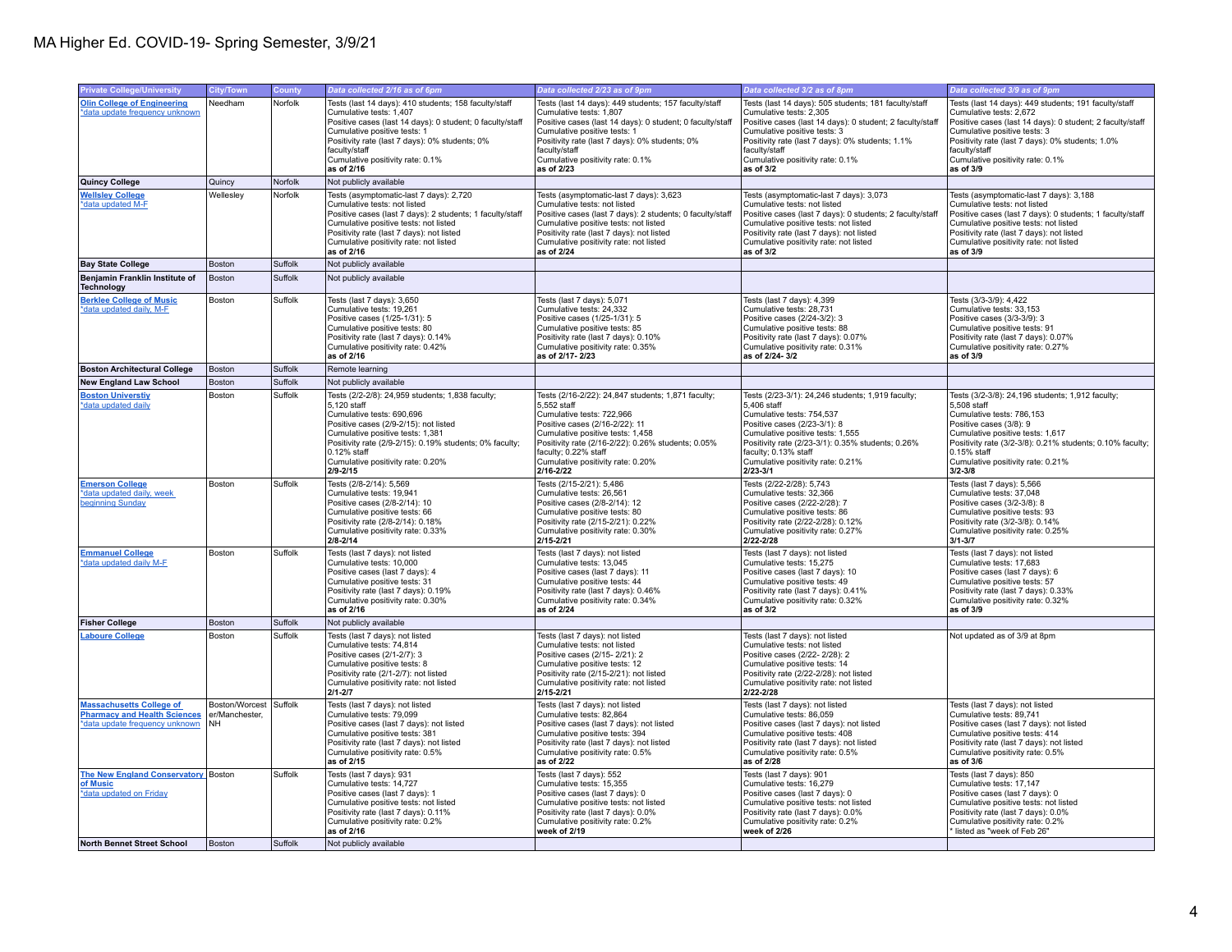| <b>Private College/University</b>                                                                        | <b>City/Town</b>                                      | County  | Data collected 2/16 as of 6pm                                                                                                                                                                                                                                                                            | Data collected 2/23 as of 9pm                                                                                                                                                                                                                                                                        | Data collected 3/2 as of 8pm                                                                                                                                                                                                                                                                        | Data collected 3/9 as of 9pm                                                                                                                                                                                                                                                                        |
|----------------------------------------------------------------------------------------------------------|-------------------------------------------------------|---------|----------------------------------------------------------------------------------------------------------------------------------------------------------------------------------------------------------------------------------------------------------------------------------------------------------|------------------------------------------------------------------------------------------------------------------------------------------------------------------------------------------------------------------------------------------------------------------------------------------------------|-----------------------------------------------------------------------------------------------------------------------------------------------------------------------------------------------------------------------------------------------------------------------------------------------------|-----------------------------------------------------------------------------------------------------------------------------------------------------------------------------------------------------------------------------------------------------------------------------------------------------|
| <b>Olin College of Engineering</b><br>*data update frequency unknown                                     | Needham                                               | Norfolk | Tests (last 14 days): 410 students; 158 faculty/staff<br>Cumulative tests: 1,407<br>Positive cases (last 14 days): 0 student; 0 faculty/staff<br>Cumulative positive tests: 1<br>Positivity rate (last 7 days): 0% students; 0%<br>faculty/staff<br>Cumulative positivity rate: 0.1%<br>as of 2/16       | Tests (last 14 days): 449 students; 157 faculty/staff<br>Cumulative tests: 1,807<br>Positive cases (last 14 days): 0 student; 0 faculty/staff<br>Cumulative positive tests: 1<br>Positivity rate (last 7 days): 0% students; 0%<br>faculty/staff<br>Cumulative positivity rate: 0.1%<br>as of 2/23   | Tests (last 14 days): 505 students; 181 faculty/staff<br>Cumulative tests: 2,305<br>Positive cases (last 14 days): 0 student; 2 faculty/staff<br>Cumulative positive tests: 3<br>Positivity rate (last 7 days): 0% students; 1.1%<br>faculty/staff<br>Cumulative positivity rate: 0.1%<br>as of 3/2 | Tests (last 14 days): 449 students; 191 faculty/staff<br>Cumulative tests: 2,672<br>Positive cases (last 14 days): 0 student; 2 faculty/staff<br>Cumulative positive tests: 3<br>Positivity rate (last 7 days): 0% students; 1.0%<br>faculty/staff<br>Cumulative positivity rate: 0.1%<br>as of 3/9 |
| Quincy College                                                                                           | Quincy                                                | Norfolk | Not publicly available                                                                                                                                                                                                                                                                                   |                                                                                                                                                                                                                                                                                                      |                                                                                                                                                                                                                                                                                                     |                                                                                                                                                                                                                                                                                                     |
| <b>Wellsley College</b><br>*data updated M-F                                                             | Wellesley                                             | Norfolk | Tests (asymptomatic-last 7 days): 2,720<br>Cumulative tests: not listed<br>Positive cases (last 7 days): 2 students; 1 faculty/staff<br>Cumulative positive tests: not listed<br>Positivity rate (last 7 days): not listed<br>Cumulative positivity rate: not listed<br>as of 2/16                       | Tests (asymptomatic-last 7 days): 3,623<br>Cumulative tests: not listed<br>Positive cases (last 7 days): 2 students; 0 faculty/staff<br>Cumulative positive tests: not listed<br>Positivity rate (last 7 days): not listed<br>Cumulative positivity rate: not listed<br>as of 2/24                   | Tests (asymptomatic-last 7 days): 3,073<br>Cumulative tests: not listed<br>Positive cases (last 7 days): 0 students; 2 faculty/staff<br>Cumulative positive tests: not listed<br>Positivity rate (last 7 days): not listed<br>Cumulative positivity rate: not listed<br>as of 3/2                   | Tests (asymptomatic-last 7 days): 3,188<br>Cumulative tests: not listed<br>Positive cases (last 7 days): 0 students; 1 faculty/staff<br>Cumulative positive tests: not listed<br>Positivity rate (last 7 days): not listed<br>Cumulative positivity rate: not listed<br>as of 3/9                   |
| <b>Bay State College</b>                                                                                 | Boston                                                | Suffolk | Not publicly available                                                                                                                                                                                                                                                                                   |                                                                                                                                                                                                                                                                                                      |                                                                                                                                                                                                                                                                                                     |                                                                                                                                                                                                                                                                                                     |
| Benjamin Franklin Institute of<br><b>Technology</b>                                                      | <b>Boston</b>                                         | Suffolk | Not publicly available                                                                                                                                                                                                                                                                                   |                                                                                                                                                                                                                                                                                                      |                                                                                                                                                                                                                                                                                                     |                                                                                                                                                                                                                                                                                                     |
| <b>Berklee College of Music</b><br>*data updated daily, M-E                                              | Boston                                                | Suffolk | Tests (last 7 days): 3,650<br>Cumulative tests: 19.261<br>Positive cases (1/25-1/31): 5<br>Cumulative positive tests: 80<br>Positivity rate (last 7 days): 0.14%<br>Cumulative positivity rate: 0.42%<br>as of 2/16                                                                                      | Tests (last 7 days): 5,071<br>Cumulative tests: 24.332<br>Positive cases (1/25-1/31): 5<br>Cumulative positive tests: 85<br>Positivity rate (last 7 days): 0.10%<br>Cumulative positivity rate: 0.35%<br>as of 2/17-2/23                                                                             | Tests (last 7 days): 4,399<br>Cumulative tests: 28.731<br>Positive cases (2/24-3/2): 3<br>Cumulative positive tests: 88<br>Positivity rate (last 7 days): 0.07%<br>Cumulative positivity rate: 0.31%<br>as of 2/24-3/2                                                                              | Tests (3/3-3/9): 4,422<br>Cumulative tests: 33.153<br>Positive cases (3/3-3/9): 3<br>Cumulative positive tests: 91<br>Positivity rate (last 7 days): 0.07%<br>Cumulative positivity rate: 0.27%<br>as of 3/9                                                                                        |
| <b>Boston Architectural College</b>                                                                      | Boston                                                | Suffolk | Remote learning                                                                                                                                                                                                                                                                                          |                                                                                                                                                                                                                                                                                                      |                                                                                                                                                                                                                                                                                                     |                                                                                                                                                                                                                                                                                                     |
| <b>New England Law School</b>                                                                            | Boston                                                | Suffolk | Not publicly available                                                                                                                                                                                                                                                                                   |                                                                                                                                                                                                                                                                                                      |                                                                                                                                                                                                                                                                                                     |                                                                                                                                                                                                                                                                                                     |
| <b>Boston Universtiy</b><br>*data updated daily                                                          | Boston                                                | Suffolk | Tests (2/2-2/8): 24,959 students; 1,838 faculty;<br>5,120 staff<br>Cumulative tests: 690.696<br>Positive cases (2/9-2/15): not listed<br>Cumulative positive tests: 1,381<br>Positivity rate (2/9-2/15): 0.19% students; 0% faculty;<br>0.12% staff<br>Cumulative positivity rate: 0.20%<br>$2/9 - 2/15$ | Tests (2/16-2/22): 24,847 students; 1,871 faculty;<br>5,552 staff<br>Cumulative tests: 722.966<br>Positive cases (2/16-2/22): 11<br>Cumulative positive tests: 1,458<br>Positivity rate (2/16-2/22): 0.26% students; 0.05%<br>faculty; 0.22% staff<br>Cumulative positivity rate: 0.20%<br>2/16-2/22 | Tests (2/23-3/1): 24,246 students; 1,919 faculty;<br>5,406 staff<br>Cumulative tests: 754.537<br>Positive cases (2/23-3/1): 8<br>Cumulative positive tests: 1,555<br>Positivity rate (2/23-3/1): 0.35% students; 0.26%<br>faculty; 0.13% staff<br>Cumulative positivity rate: 0.21%<br>2/23-3/1     | Tests (3/2-3/8): 24,196 students; 1,912 faculty;<br>5,508 staff<br>Cumulative tests: 786.153<br>Positive cases (3/8): 9<br>Cumulative positive tests: 1,617<br>Positivity rate (3/2-3/8): 0.21% students; 0.10% faculty;<br>0.15% staff<br>Cumulative positivity rate: 0.21%<br>$3/2 - 3/8$         |
| <b>Emerson College</b><br>*data updated daily, week<br>beginning Sunday                                  | Boston                                                | Suffolk | Tests (2/8-2/14): 5,569<br>Cumulative tests: 19,941<br>Positive cases (2/8-2/14): 10<br>Cumulative positive tests: 66<br>Positivity rate (2/8-2/14): 0.18%<br>Cumulative positivity rate: 0.33%<br>$2/8 - 2/14$                                                                                          | Tests (2/15-2/21): 5,486<br>Cumulative tests: 26,561<br>Positive cases (2/8-2/14): 12<br>Cumulative positive tests: 80<br>Positivity rate (2/15-2/21): 0.22%<br>Cumulative positivity rate: 0.30%<br>2/15-2/21                                                                                       | Tests (2/22-2/28): 5,743<br>Cumulative tests: 32,366<br>Positive cases (2/22-2/28): 7<br>Cumulative positive tests: 86<br>Positivity rate (2/22-2/28): 0.12%<br>Cumulative positivity rate: 0.27%<br>2/22-2/28                                                                                      | Tests (last 7 days): 5,566<br>Cumulative tests: 37,048<br>Positive cases (3/2-3/8): 8<br>Cumulative positive tests: 93<br>Positivity rate (3/2-3/8): 0.14%<br>Cumulative positivity rate: 0.25%<br>$3/1 - 3/7$                                                                                      |
| <b>Emmanuel College</b><br>*data updated daily M-F                                                       | Boston                                                | Suffolk | Tests (last 7 days): not listed<br>Cumulative tests: 10.000<br>Positive cases (last 7 days): 4<br>Cumulative positive tests: 31<br>Positivity rate (last 7 days): 0.19%<br>Cumulative positivity rate: 0.30%<br>as of 2/16                                                                               | Tests (last 7 days): not listed<br>Cumulative tests: 13.045<br>Positive cases (last 7 days): 11<br>Cumulative positive tests: 44<br>Positivity rate (last 7 days): 0.46%<br>Cumulative positivity rate: 0.34%<br>as of 2/24                                                                          | Tests (last 7 days): not listed<br>Cumulative tests: 15.275<br>Positive cases (last 7 days): 10<br>Cumulative positive tests: 49<br>Positivity rate (last 7 days): 0.41%<br>Cumulative positivity rate: 0.32%<br>as of 3/2                                                                          | Tests (last 7 days): not listed<br>Cumulative tests: 17.683<br>Positive cases (last 7 days): 6<br>Cumulative positive tests: 57<br>Positivity rate (last 7 days): 0.33%<br>Cumulative positivity rate: 0.32%<br>as of 3/9                                                                           |
| <b>Fisher College</b>                                                                                    | Boston                                                | Suffolk | Not publicly available                                                                                                                                                                                                                                                                                   |                                                                                                                                                                                                                                                                                                      |                                                                                                                                                                                                                                                                                                     |                                                                                                                                                                                                                                                                                                     |
| <b>Laboure College</b>                                                                                   | Boston                                                | Suffolk | Tests (last 7 days): not listed<br>Cumulative tests: 74.814<br>Positive cases (2/1-2/7): 3<br>Cumulative positive tests: 8<br>Positivity rate (2/1-2/7): not listed<br>Cumulative positivity rate: not listed<br>$2/1 - 2/7$                                                                             | Tests (last 7 days): not listed<br>Cumulative tests: not listed<br>Positive cases (2/15-2/21): 2<br>Cumulative positive tests: 12<br>Positivity rate (2/15-2/21): not listed<br>Cumulative positivity rate: not listed<br>$2/15 - 2/21$                                                              | Tests (last 7 days): not listed<br>Cumulative tests: not listed<br>Positive cases (2/22-2/28): 2<br>Cumulative positive tests: 14<br>Positivity rate (2/22-2/28): not listed<br>Cumulative positivity rate: not listed<br>2/22-2/28                                                                 | Not updated as of 3/9 at 8pm                                                                                                                                                                                                                                                                        |
| <b>Massachusetts College of</b><br><b>Pharmacy and Health Sciences</b><br>*data update frequency unknown | Boston/Worcest Suffolk<br>er/Manchester.<br><b>NH</b> |         | Tests (last 7 days): not listed<br>Cumulative tests: 79,099<br>Positive cases (last 7 days): not listed<br>Cumulative positive tests: 381<br>Positivity rate (last 7 days): not listed<br>Cumulative positivity rate: 0.5%<br>as of 2/15                                                                 | Tests (last 7 days): not listed<br>Cumulative tests: 82.864<br>Positive cases (last 7 days): not listed<br>Cumulative positive tests: 394<br>Positivity rate (last 7 days): not listed<br>Cumulative positivity rate: 0.5%<br>as of 2/22                                                             | Tests (last 7 days): not listed<br>Cumulative tests: 86,059<br>Positive cases (last 7 days): not listed<br>Cumulative positive tests: 408<br>Positivity rate (last 7 days): not listed<br>Cumulative positivity rate: 0.5%<br>as of 2/28                                                            | Tests (last 7 days): not listed<br>Cumulative tests: 89.741<br>Positive cases (last 7 days): not listed<br>Cumulative positive tests: 414<br>Positivity rate (last 7 days): not listed<br>Cumulative positivity rate: 0.5%<br>as of 3/6                                                             |
| <b>The New England Conservatory</b> Boston<br>of Music<br>*data updated on Friday                        |                                                       | Suffolk | Tests (last 7 days): 931<br>Cumulative tests: 14,727<br>Positive cases (last 7 days): 1<br>Cumulative positive tests: not listed<br>Positivity rate (last 7 days): 0.11%<br>Cumulative positivity rate: 0.2%<br>as of 2/16                                                                               | Tests (last 7 days): 552<br>Cumulative tests: 15,355<br>Positive cases (last 7 days): 0<br>Cumulative positive tests: not listed<br>Positivity rate (last 7 days): 0.0%<br>Cumulative positivity rate: 0.2%<br>week of 2/19                                                                          | Tests (last 7 days): 901<br>Cumulative tests: 16,279<br>Positive cases (last 7 days): 0<br>Cumulative positive tests: not listed<br>Positivity rate (last 7 days): 0.0%<br>Cumulative positivity rate: 0.2%<br>week of 2/26                                                                         | Tests (last 7 days): 850<br>Cumulative tests: 17,147<br>Positive cases (last 7 days): 0<br>Cumulative positive tests: not listed<br>Positivity rate (last 7 days): 0.0%<br>Cumulative positivity rate: 0.2%<br>listed as "week of Feb 26"                                                           |
| North Bennet Street School                                                                               | <b>Boston</b>                                         | Suffolk | Not publicly available                                                                                                                                                                                                                                                                                   |                                                                                                                                                                                                                                                                                                      |                                                                                                                                                                                                                                                                                                     |                                                                                                                                                                                                                                                                                                     |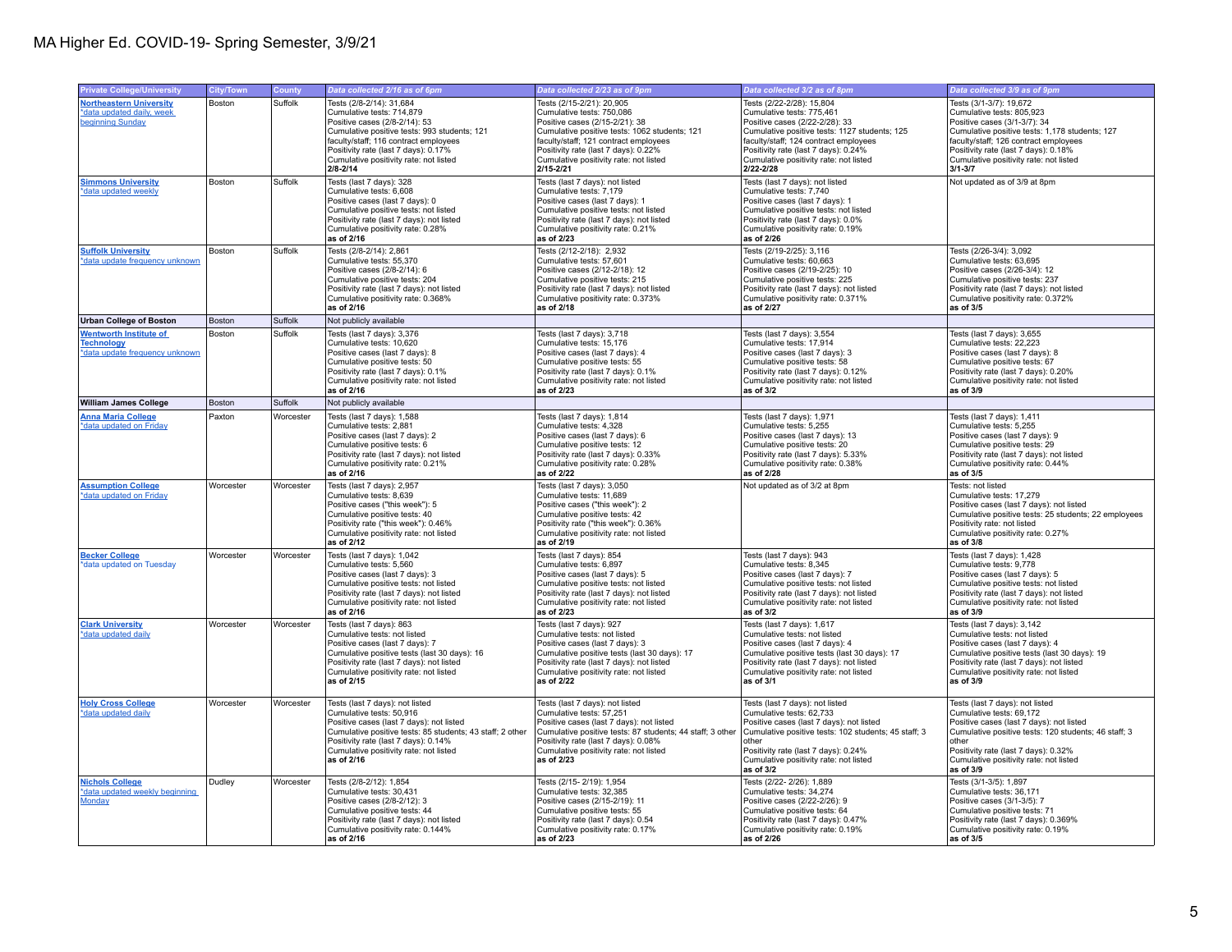| <b>Private College/University</b>                                                    | <b>City/Town</b> | County    | Data collected 2/16 as of 6pm                                                                                                                                                                                                                                                     | Data collected 2/23 as of 9pm                                                                                                                                                                                                                                                     | Data collected 3/2 as of 8pm                                                                                                                                                                                                                                                      | Data collected 3/9 as of 9pm                                                                                                                                                                                                                                                     |
|--------------------------------------------------------------------------------------|------------------|-----------|-----------------------------------------------------------------------------------------------------------------------------------------------------------------------------------------------------------------------------------------------------------------------------------|-----------------------------------------------------------------------------------------------------------------------------------------------------------------------------------------------------------------------------------------------------------------------------------|-----------------------------------------------------------------------------------------------------------------------------------------------------------------------------------------------------------------------------------------------------------------------------------|----------------------------------------------------------------------------------------------------------------------------------------------------------------------------------------------------------------------------------------------------------------------------------|
| <b>Northeastern University</b><br>*data updated daily, week<br>beginning Sunday      | Boston           | Suffolk   | Tests (2/8-2/14): 31,684<br>Cumulative tests: 714,879<br>Positive cases (2/8-2/14): 53<br>Cumulative positive tests: 993 students; 121<br>faculty/staff: 116 contract employees<br>Positivity rate (last 7 days): 0.17%<br>Cumulative positivity rate: not listed<br>$2/8 - 2/14$ | Tests (2/15-2/21): 20,905<br>Cumulative tests: 750,086<br>Positive cases (2/15-2/21): 38<br>Cumulative positive tests: 1062 students; 121<br>faculty/staff: 121 contract employees<br>Positivity rate (last 7 days): 0.22%<br>Cumulative positivity rate: not listed<br>2/15-2/21 | Tests (2/22-2/28): 15,804<br>Cumulative tests: 775,461<br>Positive cases (2/22-2/28): 33<br>Cumulative positive tests: 1127 students; 125<br>faculty/staff: 124 contract employees<br>Positivity rate (last 7 days): 0.24%<br>Cumulative positivity rate: not listed<br>2/22-2/28 | Tests (3/1-3/7): 19,672<br>Cumulative tests: 805,923<br>Positive cases (3/1-3/7): 34<br>Cumulative positive tests: 1,178 students; 127<br>faculty/staff: 126 contract employees<br>Positivity rate (last 7 days): 0.18%<br>Cumulative positivity rate: not listed<br>$3/1 - 3/7$ |
| <b>Simmons University</b><br>*data updated weekly                                    | Boston           | Suffolk   | Tests (last 7 days): 328<br>Cumulative tests: 6,608<br>Positive cases (last 7 days): 0<br>Cumulative positive tests: not listed<br>Positivity rate (last 7 days); not listed<br>Cumulative positivity rate: 0.28%<br>as of 2/16                                                   | Tests (last 7 days): not listed<br>Cumulative tests: 7,179<br>Positive cases (last 7 days): 1<br>Cumulative positive tests: not listed<br>Positivity rate (last 7 days); not listed<br>Cumulative positivity rate: 0.21%<br>as of 2/23                                            | Tests (last 7 days): not listed<br>Cumulative tests: 7,740<br>Positive cases (last 7 days): 1<br>Cumulative positive tests: not listed<br>Positivity rate (last 7 days): 0.0%<br>Cumulative positivity rate: 0.19%<br>as of 2/26                                                  | Not updated as of 3/9 at 8pm                                                                                                                                                                                                                                                     |
| <b>Suffolk University</b><br>*data update frequency unknowr                          | Boston           | Suffolk   | Tests (2/8-2/14): 2,861<br>Cumulative tests: 55.370<br>Positive cases (2/8-2/14): 6<br>Cumulative positive tests: 204<br>Positivity rate (last 7 days): not listed<br>Cumulative positivity rate: 0.368%<br>as of 2/16                                                            | Tests (2/12-2/18): 2,932<br>Cumulative tests: 57.601<br>Positive cases (2/12-2/18): 12<br>Cumulative positive tests: 215<br>Positivity rate (last 7 days): not listed<br>Cumulative positivity rate: 0.373%<br>as of 2/18                                                         | Tests (2/19-2/25): 3,116<br>Cumulative tests: 60.663<br>Positive cases (2/19-2/25): 10<br>Cumulative positive tests: 225<br>Positivity rate (last 7 days): not listed<br>Cumulative positivity rate: 0.371%<br>as of 2/27                                                         | Tests (2/26-3/4): 3,092<br>Cumulative tests: 63.695<br>Positive cases (2/26-3/4): 12<br>Cumulative positive tests: 237<br>Positivity rate (last 7 days): not listed<br>Cumulative positivity rate: 0.372%<br>as of 3/5                                                           |
| <b>Urban College of Boston</b>                                                       | Boston           | Suffolk   | Not publicly available                                                                                                                                                                                                                                                            |                                                                                                                                                                                                                                                                                   |                                                                                                                                                                                                                                                                                   |                                                                                                                                                                                                                                                                                  |
| <b>Wentworth Institute of</b><br><b>Technology</b><br>*data update frequency unknown | Boston           | Suffolk   | Tests (last 7 days): 3,376<br>Cumulative tests: 10,620<br>Positive cases (last 7 days): 8<br>Cumulative positive tests: 50<br>Positivity rate (last 7 days): 0.1%<br>Cumulative positivity rate: not listed<br>as of 2/16                                                         | Tests (last 7 days): 3,718<br>Cumulative tests: 15,176<br>Positive cases (last 7 days): 4<br>Cumulative positive tests: 55<br>Positivity rate (last 7 days): 0.1%<br>Cumulative positivity rate: not listed<br>as of 2/23                                                         | Tests (last 7 days): 3,554<br>Cumulative tests: 17,914<br>Positive cases (last 7 days): 3<br>Cumulative positive tests: 58<br>Positivity rate (last 7 days): 0.12%<br>Cumulative positivity rate: not listed<br>as of 3/2                                                         | Tests (last 7 days): 3,655<br>Cumulative tests: 22,223<br>Positive cases (last 7 days): 8<br>Cumulative positive tests: 67<br>Positivity rate (last 7 days): 0.20%<br>Cumulative positivity rate: not listed<br>as of 3/9                                                        |
| <b>William James College</b>                                                         | <b>Boston</b>    | Suffolk   | Not publicly available                                                                                                                                                                                                                                                            |                                                                                                                                                                                                                                                                                   |                                                                                                                                                                                                                                                                                   |                                                                                                                                                                                                                                                                                  |
| <b>Anna Maria College</b><br>*data updated on Friday                                 | Paxton           | Worcester | Tests (last 7 days): 1,588<br>Cumulative tests: 2,881<br>Positive cases (last 7 days): 2<br>Cumulative positive tests: 6<br>Positivity rate (last 7 days): not listed<br>Cumulative positivity rate: 0.21%<br>as of 2/16                                                          | Tests (last 7 days): 1,814<br>Cumulative tests: 4,328<br>Positive cases (last 7 days): 6<br>Cumulative positive tests: 12<br>Positivity rate (last 7 days): 0.33%<br>Cumulative positivity rate: 0.28%<br>as of 2/22                                                              | Tests (last 7 days): 1,971<br>Cumulative tests: 5,255<br>Positive cases (last 7 days): 13<br>Cumulative positive tests: 20<br>Positivity rate (last 7 days): 5.33%<br>Cumulative positivity rate: 0.38%<br>as of 2/28                                                             | Tests (last 7 days): 1,411<br>Cumulative tests: 5,255<br>Positive cases (last 7 days): 9<br>Cumulative positive tests: 29<br>Positivity rate (last 7 days): not listed<br>Cumulative positivity rate: 0.44%<br>as of 3/5                                                         |
| <b>Assumption College</b><br>*data updated on Friday                                 | Worcester        | Worcester | Tests (last 7 days): 2,957<br>Cumulative tests: 8,639<br>Positive cases ("this week"): 5<br>Cumulative positive tests: 40<br>Positivity rate ("this week"): 0.46%<br>Cumulative positivity rate: not listed<br>as of 2/12                                                         | Tests (last 7 days): 3,050<br>Cumulative tests: 11,689<br>Positive cases ("this week"): 2<br>Cumulative positive tests: 42<br>Positivity rate ("this week"): 0.36%<br>Cumulative positivity rate: not listed<br>as of 2/19                                                        | Not updated as of 3/2 at 8pm                                                                                                                                                                                                                                                      | Tests: not listed<br>Cumulative tests: 17,279<br>Positive cases (last 7 days): not listed<br>Cumulative positive tests: 25 students; 22 employees<br>Positivity rate: not listed<br>Cumulative positivity rate: 0.27%<br>as of 3/8                                               |
| <b>Becker College</b><br>*data updated on Tuesday                                    | Worcester        | Worcester | Tests (last 7 days): 1,042<br>Cumulative tests: 5,560<br>Positive cases (last 7 days): 3<br>Cumulative positive tests: not listed<br>Positivity rate (last 7 days): not listed<br>Cumulative positivity rate: not listed<br>as of 2/16                                            | Tests (last 7 days): 854<br>Cumulative tests: 6,897<br>Positive cases (last 7 days): 5<br>Cumulative positive tests: not listed<br>Positivity rate (last 7 days): not listed<br>Cumulative positivity rate: not listed<br>as of 2/23                                              | Tests (last 7 days): 943<br>Cumulative tests: 8,345<br>Positive cases (last 7 days): 7<br>Cumulative positive tests: not listed<br>Positivity rate (last 7 days): not listed<br>Cumulative positivity rate: not listed<br>as of 3/2                                               | Tests (last 7 days): 1,428<br>Cumulative tests: 9,778<br>Positive cases (last 7 days): 5<br>Cumulative positive tests: not listed<br>Positivity rate (last 7 days): not listed<br>Cumulative positivity rate: not listed<br>as of 3/9                                            |
| <b>Clark University</b><br>*data updated daily                                       | Worcester        | Worcester | Tests (last 7 days): 863<br>Cumulative tests: not listed<br>Positive cases (last 7 days): 7<br>Cumulative positive tests (last 30 days): 16<br>Positivity rate (last 7 days): not listed<br>Cumulative positivity rate: not listed<br>as of 2/15                                  | Tests (last 7 days): 927<br>Cumulative tests: not listed<br>Positive cases (last 7 days): 3<br>Cumulative positive tests (last 30 days): 17<br>Positivity rate (last 7 days): not listed<br>Cumulative positivity rate: not listed<br>as of 2/22                                  | Tests (last 7 days): 1,617<br>Cumulative tests: not listed<br>Positive cases (last 7 days): 4<br>Cumulative positive tests (last 30 days): 17<br>Positivity rate (last 7 days): not listed<br>Cumulative positivity rate: not listed<br>as of 3/1                                 | Tests (last 7 days): 3,142<br>Cumulative tests: not listed<br>Positive cases (last 7 days): 4<br>Cumulative positive tests (last 30 days): 19<br>Positivity rate (last 7 days): not listed<br>Cumulative positivity rate: not listed<br>as of 3/9                                |
| <b>Holy Cross College</b><br>*data updated daily                                     | Worcester        | Worcester | Tests (last 7 days): not listed<br>Cumulative tests: 50.916<br>Positive cases (last 7 days): not listed<br>Cumulative positive tests: 85 students; 43 staff; 2 other<br>Positivity rate (last 7 days): 0.14%<br>Cumulative positivity rate: not listed<br>as of 2/16              | Tests (last 7 days): not listed<br>Cumulative tests: 57.251<br>Positive cases (last 7 days): not listed<br>Cumulative positive tests: 87 students; 44 staff; 3 other<br>Positivity rate (last 7 days): 0.08%<br>Cumulative positivity rate: not listed<br>as of 2/23              | Tests (last 7 days): not listed<br>Cumulative tests: 62.733<br>Positive cases (last 7 days): not listed<br>Cumulative positive tests: 102 students; 45 staff; 3<br>other<br>Positivity rate (last 7 days): 0.24%<br>Cumulative positivity rate: not listed<br>as of $3/2$         | Tests (last 7 days): not listed<br>Cumulative tests: 69.172<br>Positive cases (last 7 days): not listed<br>Cumulative positive tests: 120 students; 46 staff; 3<br>other<br>Positivity rate (last 7 days): 0.32%<br>Cumulative positivity rate: not listed<br>as of 3/9          |
| <b>Nichols College</b><br>*data updated weekly beginning<br>Monday                   | Dudley           | Worcester | Tests (2/8-2/12): 1,854<br>Cumulative tests: 30.431<br>Positive cases (2/8-2/12): 3<br>Cumulative positive tests: 44<br>Positivity rate (last 7 days): not listed<br>Cumulative positivity rate: 0.144%<br>as of 2/16                                                             | Tests (2/15-2/19): 1,954<br>Cumulative tests: 32.385<br>Positive cases (2/15-2/19): 11<br>Cumulative positive tests: 55<br>Positivity rate (last 7 days): 0.54<br>Cumulative positivity rate: 0.17%<br>as of 2/23                                                                 | Tests (2/22-2/26): 1,889<br>Cumulative tests: 34.274<br>Positive cases (2/22-2/26): 9<br>Cumulative positive tests: 64<br>Positivity rate (last 7 days): 0.47%<br>Cumulative positivity rate: 0.19%<br>as of 2/26                                                                 | Tests (3/1-3/5): 1,897<br>Cumulative tests: 36.171<br>Positive cases (3/1-3/5): 7<br>Cumulative positive tests: 71<br>Positivity rate (last 7 days): 0.369%<br>Cumulative positivity rate: 0.19%<br>as of 3/5                                                                    |